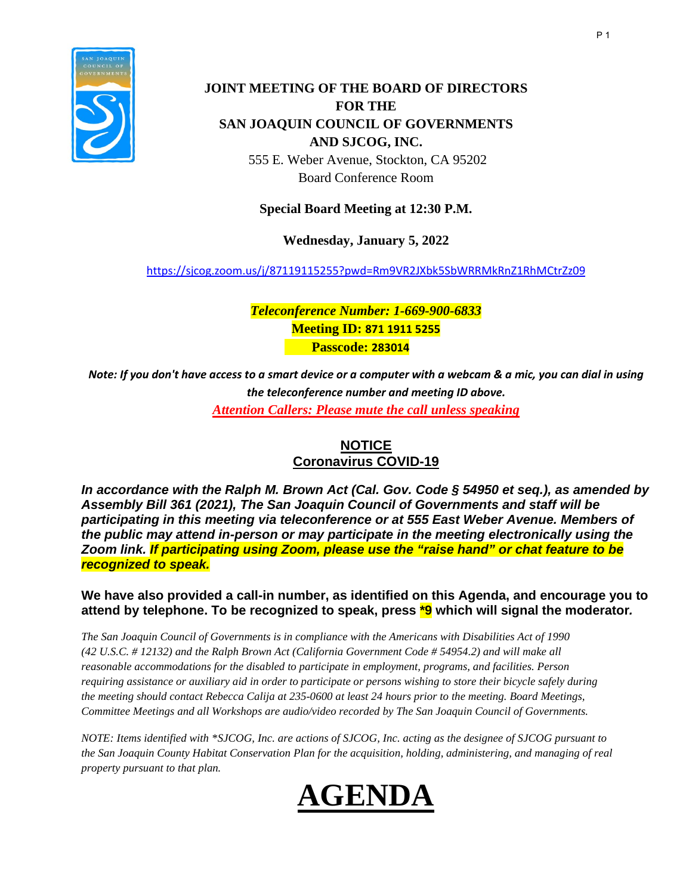

# **JOINT MEETING OF THE BOARD OF DIRECTORS FOR THE SAN JOAQUIN COUNCIL OF GOVERNMENTS AND SJCOG, INC.**

555 E. Weber Avenue, Stockton, CA 95202 Board Conference Room

### **Special Board Meeting at 12:30 P.M.**

**Wednesday, January 5, 2022** 

<https://sjcog.zoom.us/j/87119115255?pwd=Rm9VR2JXbk5SbWRRMkRnZ1RhMCtrZz09>

*Teleconference Number: 1-669-900-6833*  **Meeting ID: 871 1911 5255 Passcode: 283014**

*Note: If you don't have access to a smart device or a computer with a webcam & a mic, you can dial in using the teleconference number and meeting ID above. Attention Callers: Please mute the call unless speaking*

# **NOTICE Coronavirus COVID-19**

*In accordance with the Ralph M. Brown Act (Cal. Gov. Code § 54950 et seq.), as amended by Assembly Bill 361 (2021), The San Joaquin Council of Governments and staff will be participating in this meeting via teleconference or at 555 East Weber Avenue. Members of the public may attend in-person or may participate in the meeting electronically using the Zoom link. If participating using Zoom, please use the "raise hand" or chat feature to be recognized to speak.*

### **We have also provided a call-in number, as identified on this Agenda, and encourage you to attend by telephone. To be recognized to speak, press \*9 which will signal the moderator***.*

*The San Joaquin Council of Governments is in compliance with the Americans with Disabilities Act of 1990 (42 U.S.C. # 12132) and the Ralph Brown Act (California Government Code # 54954.2) and will make all reasonable accommodations for the disabled to participate in employment, programs, and facilities. Person requiring assistance or auxiliary aid in order to participate or persons wishing to store their bicycle safely during the meeting should contact Rebecca Calija at 235-0600 at least 24 hours prior to the meeting. Board Meetings, Committee Meetings and all Workshops are audio/video recorded by The San Joaquin Council of Governments.*

*NOTE: Items identified with \*SJCOG, Inc. are actions of SJCOG, Inc. acting as the designee of SJCOG pursuant to the San Joaquin County Habitat Conservation Plan for the acquisition, holding, administering, and managing of real property pursuant to that plan.*

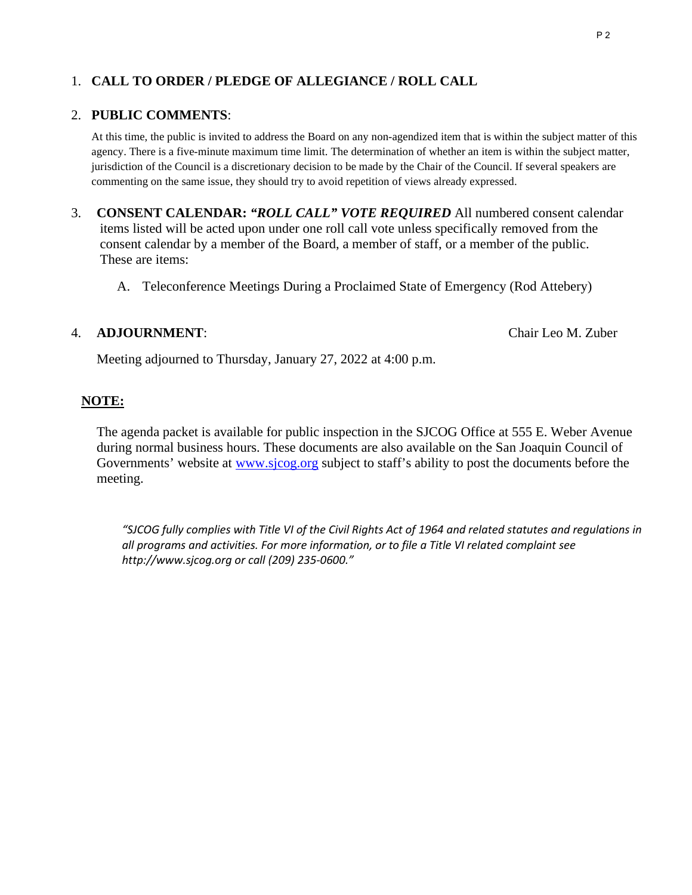# 1. **CALL TO ORDER / PLEDGE OF ALLEGIANCE / ROLL CALL**

#### 2. **PUBLIC COMMENTS**:

At this time, the public is invited to address the Board on any non-agendized item that is within the subject matter of this agency. There is a five-minute maximum time limit. The determination of whether an item is within the subject matter, jurisdiction of the Council is a discretionary decision to be made by the Chair of the Council. If several speakers are commenting on the same issue, they should try to avoid repetition of views already expressed.

- 3. **CONSENT CALENDAR:** *"ROLL CALL" VOTE REQUIRED* All numbered consent calendar items listed will be acted upon under one roll call vote unless specifically removed from the consent calendar by a member of the Board, a member of staff, or a member of the public. These are items:
	- A. Teleconference Meetings During a Proclaimed State of Emergency (Rod Attebery)

#### 4. **ADJOURNMENT**: Chair Leo M. Zuber

Meeting adjourned to Thursday, January 27, 2022 at 4:00 p.m.

### **NOTE:**

 The agenda packet is available for public inspection in the SJCOG Office at 555 E. Weber Avenue during normal business hours. These documents are also available on the San Joaquin Council of Governments' website at [www.sjcog.org](http://www.sjcog.org/) subject to staff's ability to post the documents before the meeting.

*"SJCOG fully complies with Title VI of the Civil Rights Act of 1964 and related statutes and regulations in all programs and activities. For more information, or to file a Title VI related complaint see http://www.sjcog.org or call (209) 235-0600."*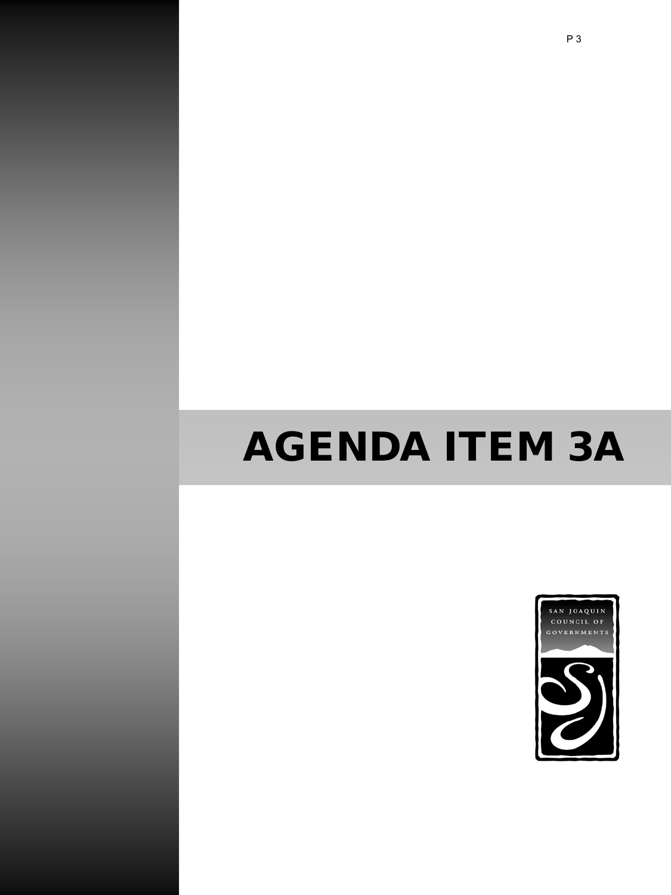# AGENDA ITEM 3A

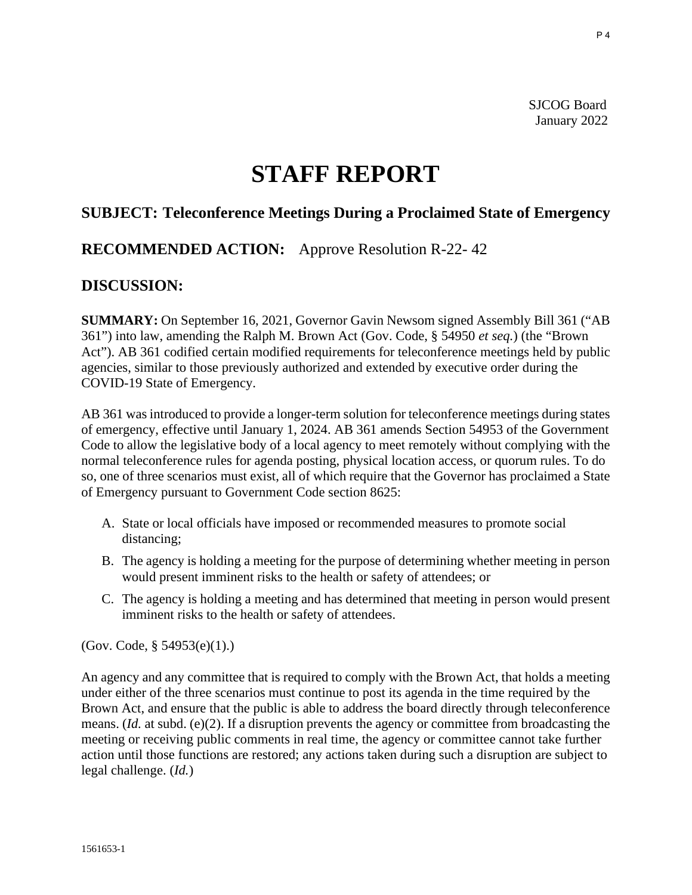SJCOG Board January 2022

# **STAFF REPORT**

# **SUBJECT: Teleconference Meetings During a Proclaimed State of Emergency**

# **RECOMMENDED ACTION:** Approve Resolution R-22- 42

### **DISCUSSION:**

**SUMMARY:** On September 16, 2021, Governor Gavin Newsom signed Assembly Bill 361 ("AB 361") into law, amending the Ralph M. Brown Act (Gov. Code, § 54950 *et seq.*) (the "Brown Act"). AB 361 codified certain modified requirements for teleconference meetings held by public agencies, similar to those previously authorized and extended by executive order during the COVID-19 State of Emergency.

AB 361 was introduced to provide a longer-term solution for teleconference meetings during states of emergency, effective until January 1, 2024. AB 361 amends Section 54953 of the Government Code to allow the legislative body of a local agency to meet remotely without complying with the normal teleconference rules for agenda posting, physical location access, or quorum rules. To do so, one of three scenarios must exist, all of which require that the Governor has proclaimed a State of Emergency pursuant to Government Code section 8625:

- A. State or local officials have imposed or recommended measures to promote social distancing;
- B. The agency is holding a meeting for the purpose of determining whether meeting in person would present imminent risks to the health or safety of attendees; or
- C. The agency is holding a meeting and has determined that meeting in person would present imminent risks to the health or safety of attendees.

(Gov. Code, § 54953(e)(1).)

An agency and any committee that is required to comply with the Brown Act, that holds a meeting under either of the three scenarios must continue to post its agenda in the time required by the Brown Act, and ensure that the public is able to address the board directly through teleconference means. (*Id.* at subd. (e)(2). If a disruption prevents the agency or committee from broadcasting the meeting or receiving public comments in real time, the agency or committee cannot take further action until those functions are restored; any actions taken during such a disruption are subject to legal challenge. (*Id.*)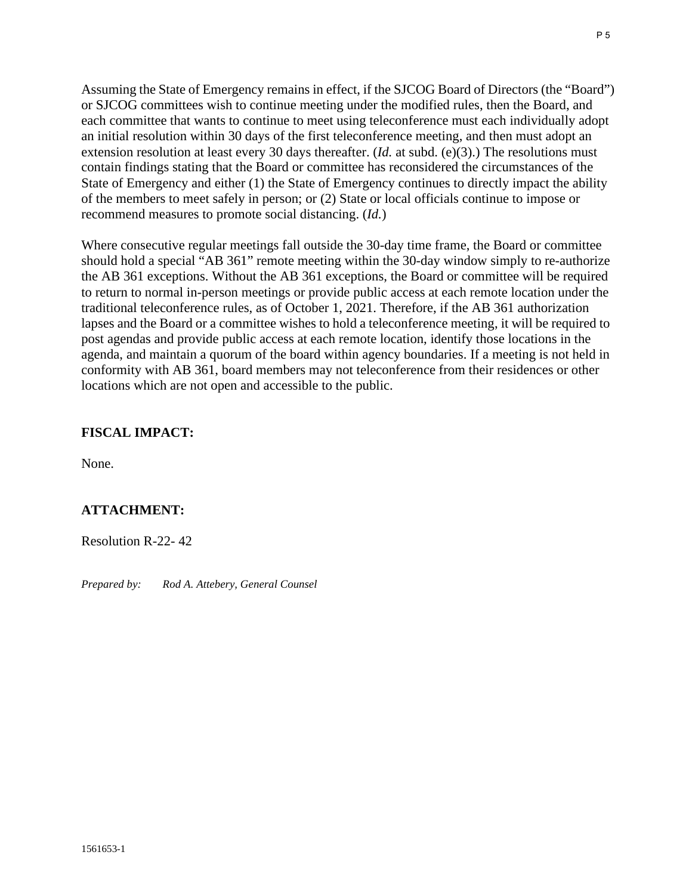Assuming the State of Emergency remains in effect, if the SJCOG Board of Directors (the "Board") or SJCOG committees wish to continue meeting under the modified rules, then the Board, and each committee that wants to continue to meet using teleconference must each individually adopt an initial resolution within 30 days of the first teleconference meeting, and then must adopt an extension resolution at least every 30 days thereafter. (*Id.* at subd. (e)(3).) The resolutions must contain findings stating that the Board or committee has reconsidered the circumstances of the State of Emergency and either (1) the State of Emergency continues to directly impact the ability of the members to meet safely in person; or (2) State or local officials continue to impose or recommend measures to promote social distancing. (*Id.*)

Where consecutive regular meetings fall outside the 30-day time frame, the Board or committee should hold a special "AB 361" remote meeting within the 30-day window simply to re-authorize the AB 361 exceptions. Without the AB 361 exceptions, the Board or committee will be required to return to normal in-person meetings or provide public access at each remote location under the traditional teleconference rules, as of October 1, 2021. Therefore, if the AB 361 authorization lapses and the Board or a committee wishes to hold a teleconference meeting, it will be required to post agendas and provide public access at each remote location, identify those locations in the agenda, and maintain a quorum of the board within agency boundaries. If a meeting is not held in conformity with AB 361, board members may not teleconference from their residences or other locations which are not open and accessible to the public.

### **FISCAL IMPACT:**

None.

## **ATTACHMENT:**

Resolution R-22- 42

*Prepared by: Rod A. Attebery, General Counsel*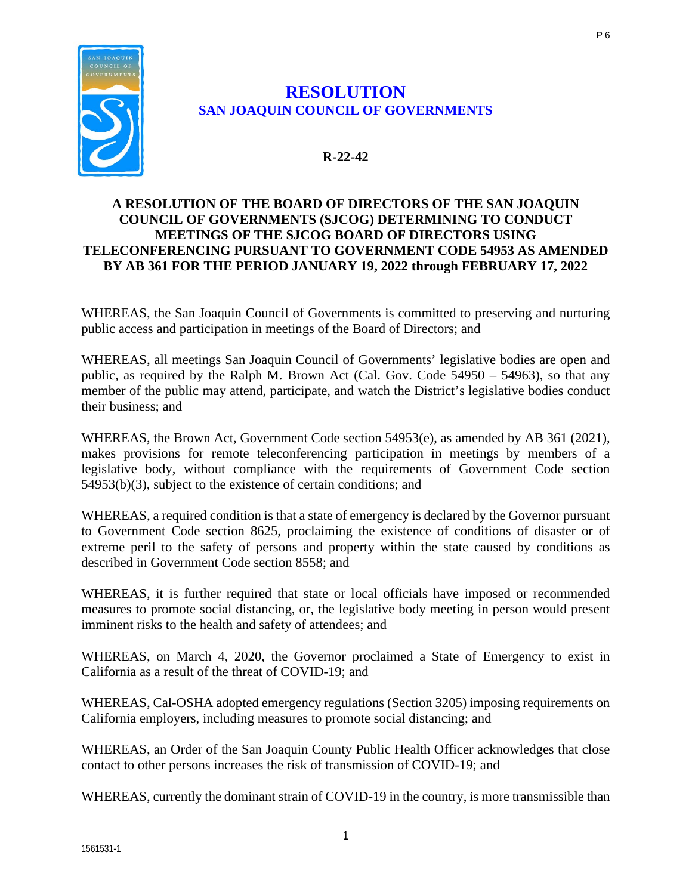

# **RESOLUTION SAN JOAQUIN COUNCIL OF GOVERNMENTS**

### **R-22-42**

### **A RESOLUTION OF THE BOARD OF DIRECTORS OF THE SAN JOAQUIN COUNCIL OF GOVERNMENTS (SJCOG) DETERMINING TO CONDUCT MEETINGS OF THE SJCOG BOARD OF DIRECTORS USING TELECONFERENCING PURSUANT TO GOVERNMENT CODE 54953 AS AMENDED BY AB 361 FOR THE PERIOD JANUARY 19, 2022 through FEBRUARY 17, 2022**

WHEREAS, the San Joaquin Council of Governments is committed to preserving and nurturing public access and participation in meetings of the Board of Directors; and

WHEREAS, all meetings San Joaquin Council of Governments' legislative bodies are open and public, as required by the Ralph M. Brown Act (Cal. Gov. Code 54950 – 54963), so that any member of the public may attend, participate, and watch the District's legislative bodies conduct their business; and

WHEREAS, the Brown Act, Government Code section 54953(e), as amended by AB 361 (2021), makes provisions for remote teleconferencing participation in meetings by members of a legislative body, without compliance with the requirements of Government Code section 54953(b)(3), subject to the existence of certain conditions; and

WHEREAS, a required condition is that a state of emergency is declared by the Governor pursuant to Government Code section 8625, proclaiming the existence of conditions of disaster or of extreme peril to the safety of persons and property within the state caused by conditions as described in Government Code section 8558; and

WHEREAS, it is further required that state or local officials have imposed or recommended measures to promote social distancing, or, the legislative body meeting in person would present imminent risks to the health and safety of attendees; and

WHEREAS, on March 4, 2020, the Governor proclaimed a State of Emergency to exist in California as a result of the threat of COVID-19; and

WHEREAS, Cal-OSHA adopted emergency regulations (Section 3205) imposing requirements on California employers, including measures to promote social distancing; and

WHEREAS, an Order of the San Joaquin County Public Health Officer acknowledges that close contact to other persons increases the risk of transmission of COVID-19; and

WHEREAS, currently the dominant strain of COVID-19 in the country, is more transmissible than

P 6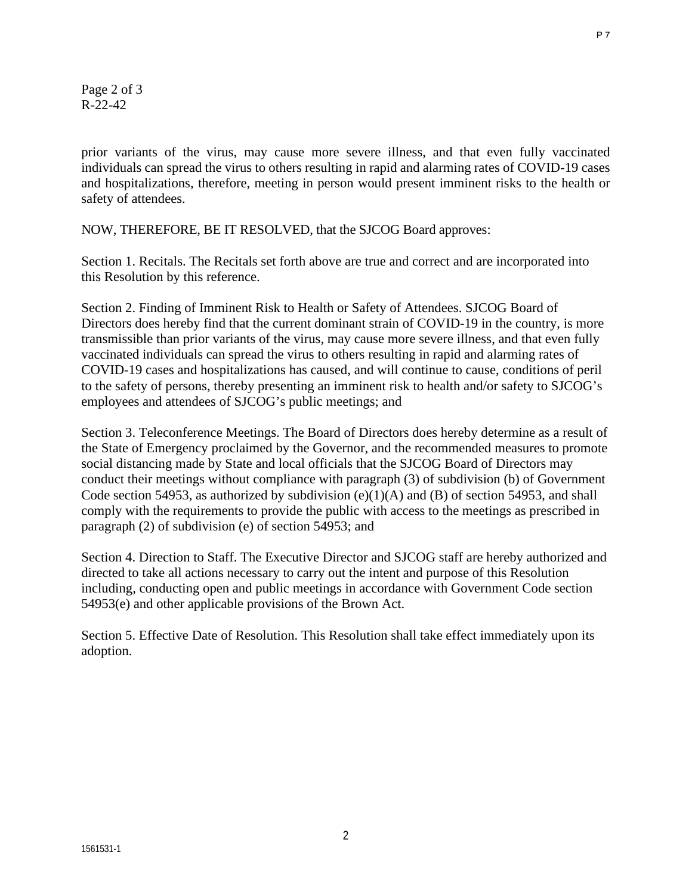Page 2 of 3 R-22-42

prior variants of the virus, may cause more severe illness, and that even fully vaccinated individuals can spread the virus to others resulting in rapid and alarming rates of COVID-19 cases and hospitalizations, therefore, meeting in person would present imminent risks to the health or safety of attendees.

NOW, THEREFORE, BE IT RESOLVED, that the SJCOG Board approves:

Section 1. Recitals. The Recitals set forth above are true and correct and are incorporated into this Resolution by this reference.

Section 2. Finding of Imminent Risk to Health or Safety of Attendees. SJCOG Board of Directors does hereby find that the current dominant strain of COVID-19 in the country, is more transmissible than prior variants of the virus, may cause more severe illness, and that even fully vaccinated individuals can spread the virus to others resulting in rapid and alarming rates of COVID-19 cases and hospitalizations has caused, and will continue to cause, conditions of peril to the safety of persons, thereby presenting an imminent risk to health and/or safety to SJCOG's employees and attendees of SJCOG's public meetings; and

Section 3. Teleconference Meetings. The Board of Directors does hereby determine as a result of the State of Emergency proclaimed by the Governor, and the recommended measures to promote social distancing made by State and local officials that the SJCOG Board of Directors may conduct their meetings without compliance with paragraph (3) of subdivision (b) of Government Code section 54953, as authorized by subdivision  $(e)(1)(A)$  and  $(B)$  of section 54953, and shall comply with the requirements to provide the public with access to the meetings as prescribed in paragraph (2) of subdivision (e) of section 54953; and

Section 4. Direction to Staff. The Executive Director and SJCOG staff are hereby authorized and directed to take all actions necessary to carry out the intent and purpose of this Resolution including, conducting open and public meetings in accordance with Government Code section 54953(e) and other applicable provisions of the Brown Act.

Section 5. Effective Date of Resolution. This Resolution shall take effect immediately upon its adoption.